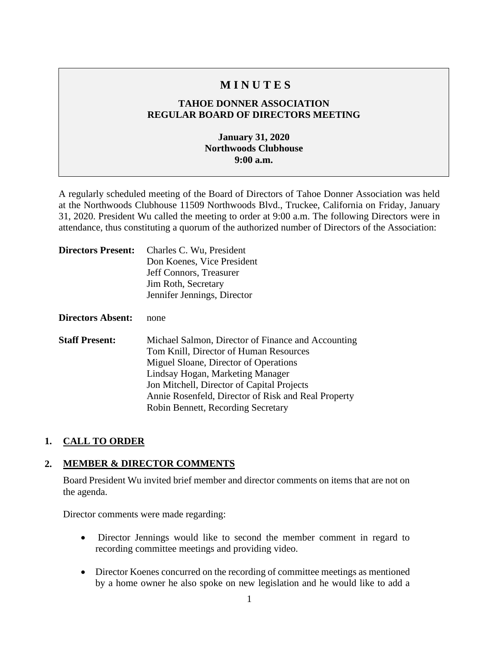# **M I N U T E S**

## **TAHOE DONNER ASSOCIATION REGULAR BOARD OF DIRECTORS MEETING**

## **January 31, 2020 Northwoods Clubhouse 9:00 a.m.**

A regularly scheduled meeting of the Board of Directors of Tahoe Donner Association was held at the Northwoods Clubhouse 11509 Northwoods Blvd., Truckee, California on Friday, January 31, 2020. President Wu called the meeting to order at 9:00 a.m. The following Directors were in attendance, thus constituting a quorum of the authorized number of Directors of the Association:

| <b>Directors Present:</b> | Charles C. Wu, President<br>Don Koenes, Vice President<br>Jeff Connors, Treasurer<br>Jim Roth, Secretary<br>Jennifer Jennings, Director                                                                                                                                                                              |
|---------------------------|----------------------------------------------------------------------------------------------------------------------------------------------------------------------------------------------------------------------------------------------------------------------------------------------------------------------|
| Directors Absent:         | none                                                                                                                                                                                                                                                                                                                 |
| <b>Staff Present:</b>     | Michael Salmon, Director of Finance and Accounting<br>Tom Knill, Director of Human Resources<br>Miguel Sloane, Director of Operations<br>Lindsay Hogan, Marketing Manager<br>Jon Mitchell, Director of Capital Projects<br>Annie Rosenfeld, Director of Risk and Real Property<br>Robin Bennett, Recording Secretary |

## **1. CALL TO ORDER**

## **2. MEMBER & DIRECTOR COMMENTS**

Board President Wu invited brief member and director comments on items that are not on the agenda.

Director comments were made regarding:

- Director Jennings would like to second the member comment in regard to recording committee meetings and providing video.
- Director Koenes concurred on the recording of committee meetings as mentioned by a home owner he also spoke on new legislation and he would like to add a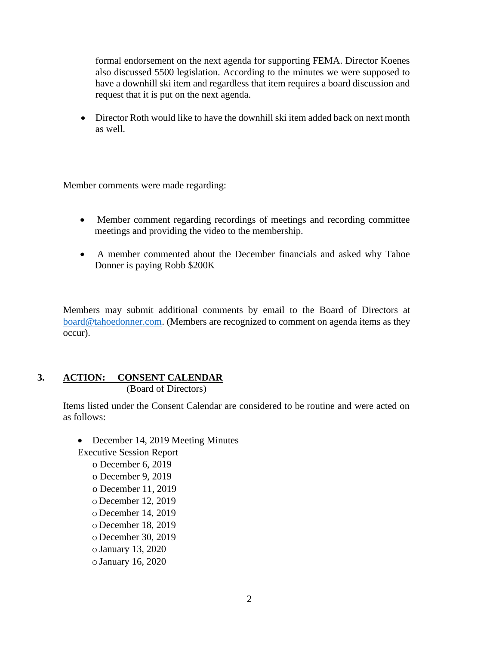formal endorsement on the next agenda for supporting FEMA. Director Koenes also discussed 5500 legislation. According to the minutes we were supposed to have a downhill ski item and regardless that item requires a board discussion and request that it is put on the next agenda.

• Director Roth would like to have the downhill ski item added back on next month as well.

Member comments were made regarding:

- Member comment regarding recordings of meetings and recording committee meetings and providing the video to the membership.
- A member commented about the December financials and asked why Tahoe Donner is paying Robb \$200K

Members may submit additional comments by email to the Board of Directors at [board@tahoedonner.com.](mailto:board@tahoedonner.com) (Members are recognized to comment on agenda items as they occur).

#### **3. ACTION: CONSENT CALENDAR** (Board of Directors)

Items listed under the Consent Calendar are considered to be routine and were acted on as follows:

• December 14, 2019 Meeting Minutes

Executive Session Report o December 6, 2019 o December 9, 2019 o December 11, 2019 o December 12, 2019 o December 14, 2019 o December 18, 2019 o December 30, 2019 oJanuary 13, 2020 oJanuary 16, 2020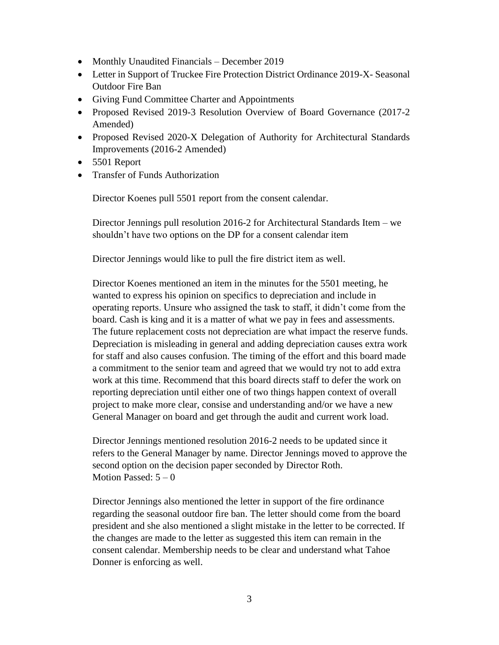- Monthly Unaudited Financials December 2019
- Letter in Support of Truckee Fire Protection District Ordinance 2019-X-Seasonal Outdoor Fire Ban
- Giving Fund Committee Charter and Appointments
- Proposed Revised 2019-3 Resolution Overview of Board Governance (2017-2) Amended)
- Proposed Revised 2020-X Delegation of Authority for Architectural Standards Improvements (2016-2 Amended)
- 5501 Report
- Transfer of Funds Authorization

Director Koenes pull 5501 report from the consent calendar.

Director Jennings pull resolution 2016-2 for Architectural Standards Item – we shouldn't have two options on the DP for a consent calendar item

Director Jennings would like to pull the fire district item as well.

Director Koenes mentioned an item in the minutes for the 5501 meeting, he wanted to express his opinion on specifics to depreciation and include in operating reports. Unsure who assigned the task to staff, it didn't come from the board. Cash is king and it is a matter of what we pay in fees and assessments. The future replacement costs not depreciation are what impact the reserve funds. Depreciation is misleading in general and adding depreciation causes extra work for staff and also causes confusion. The timing of the effort and this board made a commitment to the senior team and agreed that we would try not to add extra work at this time. Recommend that this board directs staff to defer the work on reporting depreciation until either one of two things happen context of overall project to make more clear, consise and understanding and/or we have a new General Manager on board and get through the audit and current work load.

Director Jennings mentioned resolution 2016-2 needs to be updated since it refers to the General Manager by name. Director Jennings moved to approve the second option on the decision paper seconded by Director Roth. Motion Passed:  $5-0$ 

Director Jennings also mentioned the letter in support of the fire ordinance regarding the seasonal outdoor fire ban. The letter should come from the board president and she also mentioned a slight mistake in the letter to be corrected. If the changes are made to the letter as suggested this item can remain in the consent calendar. Membership needs to be clear and understand what Tahoe Donner is enforcing as well.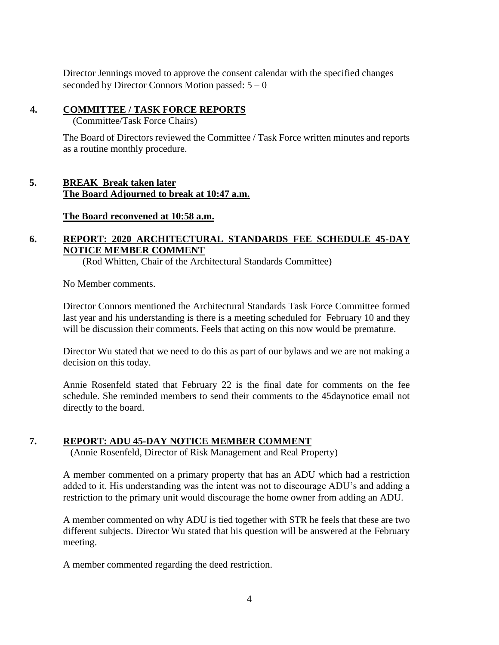Director Jennings moved to approve the consent calendar with the specified changes seconded by Director Connors Motion passed:  $5 - 0$ 

### **4. COMMITTEE / TASK FORCE REPORTS**

(Committee/Task Force Chairs)

The Board of Directors reviewed the Committee / Task Force written minutes and reports as a routine monthly procedure.

## **5. BREAK Break taken later The Board Adjourned to break at 10:47 a.m.**

**The Board reconvened at 10:58 a.m.**

## **6. REPORT: 2020 ARCHITECTURAL STANDARDS FEE SCHEDULE 45-DAY NOTICE MEMBER COMMENT**

(Rod Whitten, Chair of the Architectural Standards Committee)

No Member comments.

Director Connors mentioned the Architectural Standards Task Force Committee formed last year and his understanding is there is a meeting scheduled for February 10 and they will be discussion their comments. Feels that acting on this now would be premature.

Director Wu stated that we need to do this as part of our bylaws and we are not making a decision on this today.

Annie Rosenfeld stated that February 22 is the final date for comments on the fee schedule. She reminded members to send their comments to the 45daynotice email not directly to the board.

## **7. REPORT: ADU 45-DAY NOTICE MEMBER COMMENT**

(Annie Rosenfeld, Director of Risk Management and Real Property)

A member commented on a primary property that has an ADU which had a restriction added to it. His understanding was the intent was not to discourage ADU's and adding a restriction to the primary unit would discourage the home owner from adding an ADU.

A member commented on why ADU is tied together with STR he feels that these are two different subjects. Director Wu stated that his question will be answered at the February meeting.

A member commented regarding the deed restriction.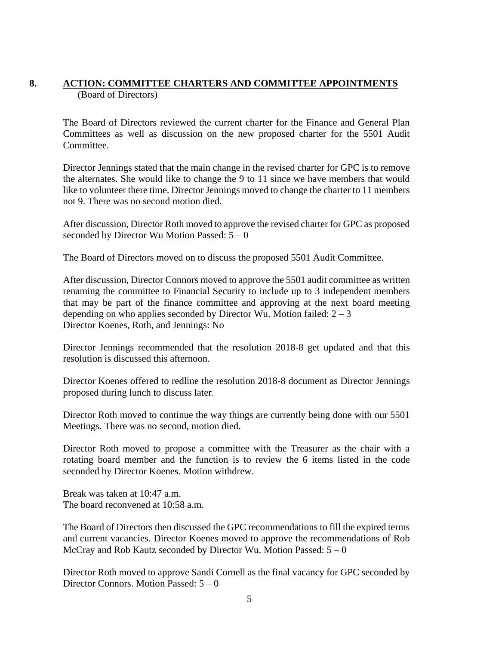## **8. ACTION: COMMITTEE CHARTERS AND COMMITTEE APPOINTMENTS** (Board of Directors)

The Board of Directors reviewed the current charter for the Finance and General Plan Committees as well as discussion on the new proposed charter for the 5501 Audit Committee.

Director Jennings stated that the main change in the revised charter for GPC is to remove the alternates. She would like to change the 9 to 11 since we have members that would like to volunteer there time. Director Jennings moved to change the charter to 11 members not 9. There was no second motion died.

After discussion, Director Roth moved to approve the revised charter for GPC as proposed seconded by Director Wu Motion Passed:  $5 - 0$ 

The Board of Directors moved on to discuss the proposed 5501 Audit Committee.

After discussion, Director Connors moved to approve the 5501 audit committee as written renaming the committee to Financial Security to include up to 3 independent members that may be part of the finance committee and approving at the next board meeting depending on who applies seconded by Director Wu. Motion failed:  $2-3$ Director Koenes, Roth, and Jennings: No

Director Jennings recommended that the resolution 2018-8 get updated and that this resolution is discussed this afternoon.

Director Koenes offered to redline the resolution 2018-8 document as Director Jennings proposed during lunch to discuss later.

Director Roth moved to continue the way things are currently being done with our 5501 Meetings. There was no second, motion died.

Director Roth moved to propose a committee with the Treasurer as the chair with a rotating board member and the function is to review the 6 items listed in the code seconded by Director Koenes. Motion withdrew.

Break was taken at 10:47 a.m. The board reconvened at 10:58 a.m.

The Board of Directors then discussed the GPC recommendations to fill the expired terms and current vacancies. Director Koenes moved to approve the recommendations of Rob McCray and Rob Kautz seconded by Director Wu. Motion Passed:  $5 - 0$ 

Director Roth moved to approve Sandi Cornell as the final vacancy for GPC seconded by Director Connors. Motion Passed: 5 – 0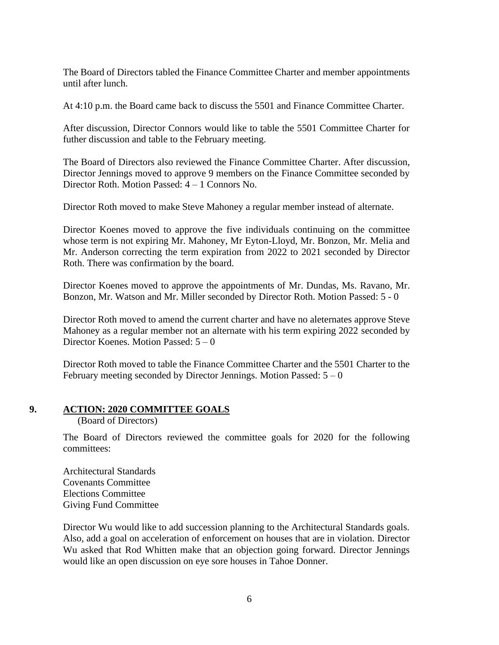The Board of Directors tabled the Finance Committee Charter and member appointments until after lunch.

At 4:10 p.m. the Board came back to discuss the 5501 and Finance Committee Charter.

After discussion, Director Connors would like to table the 5501 Committee Charter for futher discussion and table to the February meeting.

The Board of Directors also reviewed the Finance Committee Charter. After discussion, Director Jennings moved to approve 9 members on the Finance Committee seconded by Director Roth. Motion Passed: 4 – 1 Connors No.

Director Roth moved to make Steve Mahoney a regular member instead of alternate.

Director Koenes moved to approve the five individuals continuing on the committee whose term is not expiring Mr. Mahoney, Mr Eyton-Lloyd, Mr. Bonzon, Mr. Melia and Mr. Anderson correcting the term expiration from 2022 to 2021 seconded by Director Roth. There was confirmation by the board.

Director Koenes moved to approve the appointments of Mr. Dundas, Ms. Ravano, Mr. Bonzon, Mr. Watson and Mr. Miller seconded by Director Roth. Motion Passed: 5 - 0

Director Roth moved to amend the current charter and have no aleternates approve Steve Mahoney as a regular member not an alternate with his term expiring 2022 seconded by Director Koenes. Motion Passed: 5 – 0

Director Roth moved to table the Finance Committee Charter and the 5501 Charter to the February meeting seconded by Director Jennings. Motion Passed:  $5 - 0$ 

#### **9. ACTION: 2020 COMMITTEE GOALS**

(Board of Directors)

The Board of Directors reviewed the committee goals for 2020 for the following committees:

Architectural Standards Covenants Committee Elections Committee Giving Fund Committee

Director Wu would like to add succession planning to the Architectural Standards goals. Also, add a goal on acceleration of enforcement on houses that are in violation. Director Wu asked that Rod Whitten make that an objection going forward. Director Jennings would like an open discussion on eye sore houses in Tahoe Donner.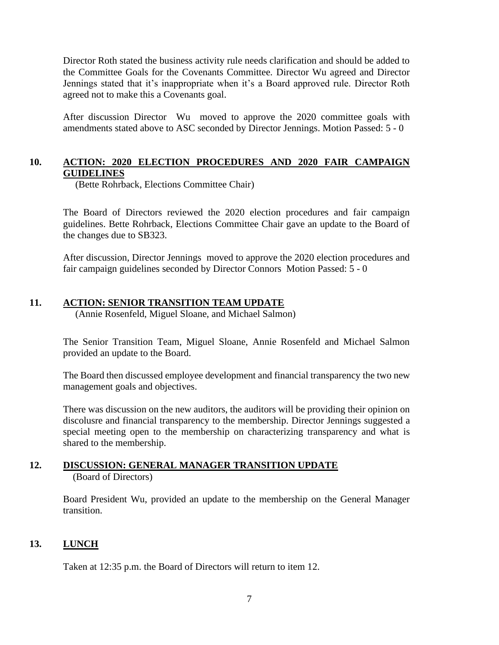Director Roth stated the business activity rule needs clarification and should be added to the Committee Goals for the Covenants Committee. Director Wu agreed and Director Jennings stated that it's inappropriate when it's a Board approved rule. Director Roth agreed not to make this a Covenants goal.

After discussion Director Wu moved to approve the 2020 committee goals with amendments stated above to ASC seconded by Director Jennings. Motion Passed: 5 - 0

### **10. ACTION: 2020 ELECTION PROCEDURES AND 2020 FAIR CAMPAIGN GUIDELINES**

(Bette Rohrback, Elections Committee Chair)

The Board of Directors reviewed the 2020 election procedures and fair campaign guidelines. Bette Rohrback, Elections Committee Chair gave an update to the Board of the changes due to SB323.

After discussion, Director Jennings moved to approve the 2020 election procedures and fair campaign guidelines seconded by Director Connors Motion Passed: 5 - 0

#### **11. ACTION: SENIOR TRANSITION TEAM UPDATE**

(Annie Rosenfeld, Miguel Sloane, and Michael Salmon)

The Senior Transition Team, Miguel Sloane, Annie Rosenfeld and Michael Salmon provided an update to the Board.

The Board then discussed employee development and financial transparency the two new management goals and objectives.

There was discussion on the new auditors, the auditors will be providing their opinion on discolusre and financial transparency to the membership. Director Jennings suggested a special meeting open to the membership on characterizing transparency and what is shared to the membership.

#### **12. DISCUSSION: GENERAL MANAGER TRANSITION UPDATE** (Board of Directors)

Board President Wu, provided an update to the membership on the General Manager transition.

## **13. LUNCH**

Taken at 12:35 p.m. the Board of Directors will return to item 12.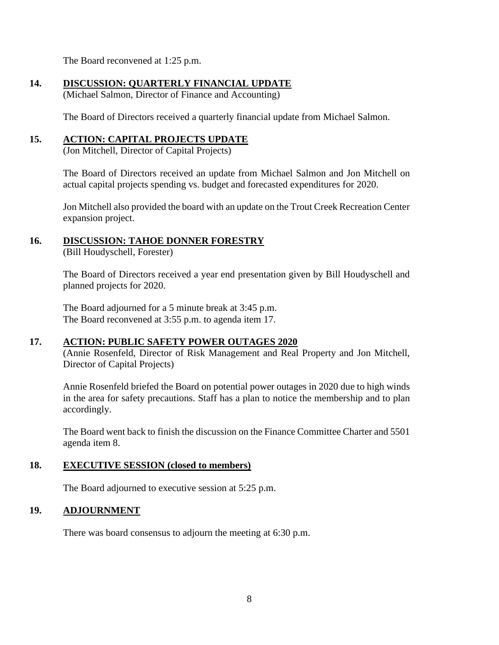The Board reconvened at 1:25 p.m.

## **14. DISCUSSION: QUARTERLY FINANCIAL UPDATE**

(Michael Salmon, Director of Finance and Accounting)

The Board of Directors received a quarterly financial update from Michael Salmon.

## **15. ACTION: CAPITAL PROJECTS UPDATE**

(Jon Mitchell, Director of Capital Projects)

The Board of Directors received an update from Michael Salmon and Jon Mitchell on actual capital projects spending vs. budget and forecasted expenditures for 2020.

Jon Mitchell also provided the board with an update on the Trout Creek Recreation Center expansion project.

## **16. DISCUSSION: TAHOE DONNER FORESTRY**

(Bill Houdyschell, Forester)

The Board of Directors received a year end presentation given by Bill Houdyschell and planned projects for 2020.

The Board adjourned for a 5 minute break at 3:45 p.m. The Board reconvened at 3:55 p.m. to agenda item 17.

## **17. ACTION: PUBLIC SAFETY POWER OUTAGES 2020**

(Annie Rosenfeld, Director of Risk Management and Real Property and Jon Mitchell, Director of Capital Projects)

Annie Rosenfeld briefed the Board on potential power outages in 2020 due to high winds in the area for safety precautions. Staff has a plan to notice the membership and to plan accordingly.

The Board went back to finish the discussion on the Finance Committee Charter and 5501 agenda item 8.

## **18. EXECUTIVE SESSION (closed to members)**

The Board adjourned to executive session at 5:25 p.m.

## **19. ADJOURNMENT**

There was board consensus to adjourn the meeting at 6:30 p.m.